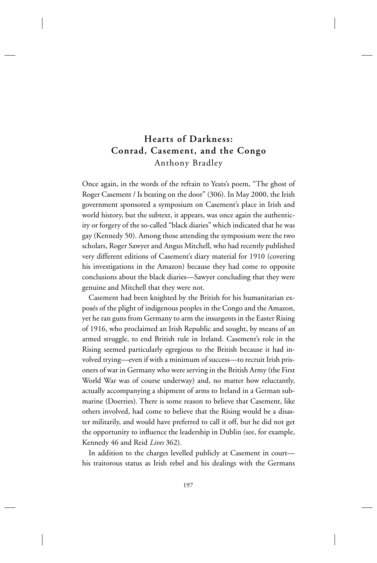# **Hearts of Darkness: Conrad, Casement, and the Congo** Anthony Bradley

Once again, in the words of the refrain to Yeats's poem, "The ghost of Roger Casement / Is beating on the door" (306). In May 2000, the Irish government sponsored a symposium on Casement's place in Irish and world history, but the subtext, it appears, was once again the authenticity or forgery of the so-called "black diaries" which indicated that he was gay (Kennedy 50). Among those attending the symposium were the two scholars, Roger Sawyer and Angus Mitchell, who had recently published very different editions of Casement's diary material for 1910 (covering his investigations in the Amazon) because they had come to opposite conclusions about the black diaries—Sawyer concluding that they were genuine and Mitchell that they were not.

Casement had been knighted by the British for his humanitarian exposés of the plight of indigenous peoples in the Congo and the Amazon, yet he ran guns from Germany to arm the insurgents in the Easter Rising of 1916, who proclaimed an Irish Republic and sought, by means of an armed struggle, to end British rule in Ireland. Casement's role in the Rising seemed particularly egregious to the British because it had involved trying—even if with a minimum of success—to recruit Irish prisoners of war in Germany who were serving in the British Army (the First World War was of course underway) and, no matter how reluctantly, actually accompanying a shipment of arms to Ireland in a German submarine (Doerries). There is some reason to believe that Casement, like others involved, had come to believe that the Rising would be a disaster militarily, and would have preferred to call it off, but he did not get the opportunity to influence the leadership in Dublin (see, for example, Kennedy 46 and Reid *Lives* 362).

In addition to the charges levelled publicly at Casement in court his traitorous status as Irish rebel and his dealings with the Germans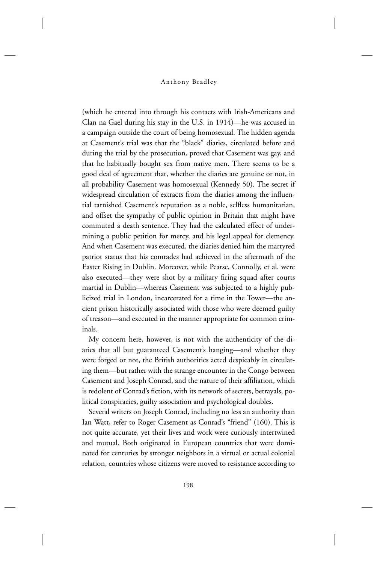(which he entered into through his contacts with Irish-Americans and Clan na Gael during his stay in the U.S. in 1914)—he was accused in a campaign outside the court of being homosexual. The hidden agenda at Casement's trial was that the "black" diaries, circulated before and during the trial by the prosecution, proved that Casement was gay, and that he habitually bought sex from native men. There seems to be a good deal of agreement that, whether the diaries are genuine or not, in all probability Casement was homosexual (Kennedy 50). The secret if widespread circulation of extracts from the diaries among the influential tarnished Casement's reputation as a noble, selfless humanitarian, and offset the sympathy of public opinion in Britain that might have commuted a death sentence. They had the calculated effect of undermining a public petition for mercy, and his legal appeal for clemency. And when Casement was executed, the diaries denied him the martyred patriot status that his comrades had achieved in the aftermath of the Easter Rising in Dublin. Moreover, while Pearse, Connolly, et al. were also executed—they were shot by a military firing squad after courts martial in Dublin—whereas Casement was subjected to a highly publicized trial in London, incarcerated for a time in the Tower—the ancient prison historically associated with those who were deemed guilty of treason—and executed in the manner appropriate for common criminals.

My concern here, however, is not with the authenticity of the diaries that all but guaranteed Casement's hanging—and whether they were forged or not, the British authorities acted despicably in circulating them—but rather with the strange encounter in the Congo between Casement and Joseph Conrad, and the nature of their affiliation, which is redolent of Conrad's fiction, with its network of secrets, betrayals, political conspiracies, guilty association and psychological doubles.

Several writers on Joseph Conrad, including no less an authority than Ian Watt, refer to Roger Casement as Conrad's "friend" (160). This is not quite accurate, yet their lives and work were curiously intertwined and mutual. Both originated in European countries that were dominated for centuries by stronger neighbors in a virtual or actual colonial relation, countries whose citizens were moved to resistance according to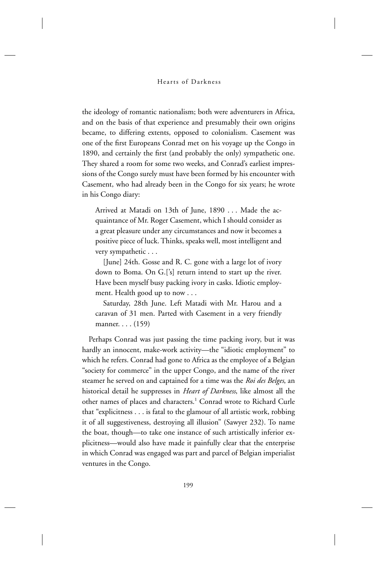the ideology of romantic nationalism; both were adventurers in Africa, and on the basis of that experience and presumably their own origins became, to differing extents, opposed to colonialism. Casement was one of the first Europeans Conrad met on his voyage up the Congo in 1890, and certainly the first (and probably the only) sympathetic one. They shared a room for some two weeks, and Conrad's earliest impressions of the Congo surely must have been formed by his encounter with Casement, who had already been in the Congo for six years; he wrote in his Congo diary:

Arrived at Matadi on 13th of June, 1890 . . . Made the acquaintance of Mr. Roger Casement, which I should consider as a great pleasure under any circumstances and now it becomes a positive piece of luck. Thinks, speaks well, most intelligent and very sympathetic . . .

 [June] 24th. Gosse and R. C. gone with a large lot of ivory down to Boma. On G.['s] return intend to start up the river. Have been myself busy packing ivory in casks. Idiotic employment. Health good up to now . . .

 Saturday, 28th June. Left Matadi with Mr. Harou and a caravan of 31 men. Parted with Casement in a very friendly manner. . . . (159)

Perhaps Conrad was just passing the time packing ivory, but it was hardly an innocent, make-work activity—the "idiotic employment" to which he refers. Conrad had gone to Africa as the employee of a Belgian "society for commerce" in the upper Congo, and the name of the river steamer he served on and captained for a time was the *Roi des Belges*, an historical detail he suppresses in *Heart of Darkness*, like almost all the other names of places and characters.<sup>1</sup> Conrad wrote to Richard Curle that "explicitness . . . is fatal to the glamour of all artistic work, robbing it of all suggestiveness, destroying all illusion" (Sawyer 232). To name the boat, though—to take one instance of such artistically inferior explicitness—would also have made it painfully clear that the enterprise in which Conrad was engaged was part and parcel of Belgian imperialist ventures in the Congo.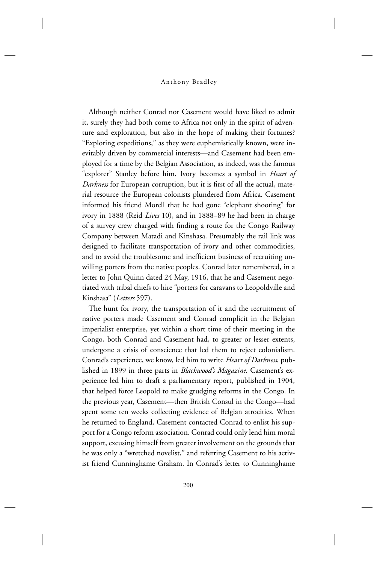Although neither Conrad nor Casement would have liked to admit it, surely they had both come to Africa not only in the spirit of adventure and exploration, but also in the hope of making their fortunes? "Exploring expeditions," as they were euphemistically known, were inevitably driven by commercial interests—and Casement had been employed for a time by the Belgian Association, as indeed, was the famous "explorer" Stanley before him. Ivory becomes a symbol in *Heart of Darkness* for European corruption, but it is first of all the actual, material resource the European colonists plundered from Africa. Casement informed his friend Morell that he had gone "elephant shooting" for ivory in 1888 (Reid *Lives* 10), and in 1888–89 he had been in charge of a survey crew charged with finding a route for the Congo Railway Company between Matadi and Kinshasa. Presumably the rail link was designed to facilitate transportation of ivory and other commodities, and to avoid the troublesome and inefficient business of recruiting unwilling porters from the native peoples. Conrad later remembered, in a letter to John Quinn dated 24 May, 1916, that he and Casement negotiated with tribal chiefs to hire "porters for caravans to Leopoldville and Kinshasa" (*Letters* 597).

The hunt for ivory, the transportation of it and the recruitment of native porters made Casement and Conrad complicit in the Belgian imperialist enterprise, yet within a short time of their meeting in the Congo, both Conrad and Casement had, to greater or lesser extents, undergone a crisis of conscience that led them to reject colonialism. Conrad's experience, we know, led him to write *Heart of Darkness*, published in 1899 in three parts in *Blackwood's Magazine*. Casement's experience led him to draft a parliamentary report, published in 1904, that helped force Leopold to make grudging reforms in the Congo. In the previous year, Casement—then British Consul in the Congo—had spent some ten weeks collecting evidence of Belgian atrocities. When he returned to England, Casement contacted Conrad to enlist his support for a Congo reform association. Conrad could only lend him moral support, excusing himself from greater involvement on the grounds that he was only a "wretched novelist," and referring Casement to his activist friend Cunninghame Graham. In Conrad's letter to Cunninghame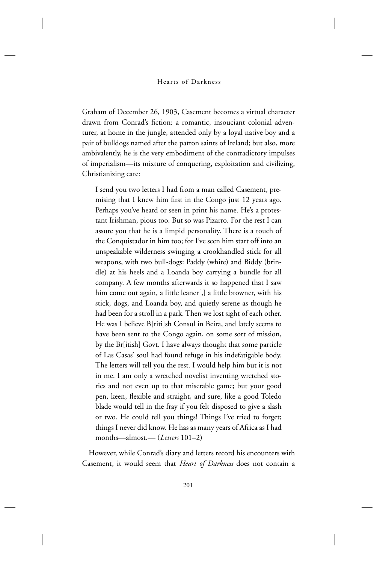Graham of December 26, 1903, Casement becomes a virtual character drawn from Conrad's fiction: a romantic, insouciant colonial adventurer, at home in the jungle, attended only by a loyal native boy and a pair of bulldogs named after the patron saints of Ireland; but also, more ambivalently, he is the very embodiment of the contradictory impulses of imperialism—its mixture of conquering, exploitation and civilizing, Christianizing care:

I send you two letters I had from a man called Casement, premising that I knew him first in the Congo just 12 years ago. Perhaps you've heard or seen in print his name. He's a protestant Irishman, pious too. But so was Pizarro. For the rest I can assure you that he is a limpid personality. There is a touch of the Conquistador in him too; for I've seen him start off into an unspeakable wilderness swinging a crookhandled stick for all weapons, with two bull-dogs: Paddy (white) and Biddy (brindle) at his heels and a Loanda boy carrying a bundle for all company. A few months afterwards it so happened that I saw him come out again, a little leaner[,] a little browner, with his stick, dogs, and Loanda boy, and quietly serene as though he had been for a stroll in a park. Then we lost sight of each other. He was I believe B[riti]sh Consul in Beira, and lately seems to have been sent to the Congo again, on some sort of mission, by the Br[itish] Govt. I have always thought that some particle of Las Casas' soul had found refuge in his indefatigable body. The letters will tell you the rest. I would help him but it is not in me. I am only a wretched novelist inventing wretched stories and not even up to that miserable game; but your good pen, keen, flexible and straight, and sure, like a good Toledo blade would tell in the fray if you felt disposed to give a slash or two. He could tell you things! Things I've tried to forget; things I never did know. He has as many years of Africa as I had months—almost.— (*Letters* 101–2)

However, while Conrad's diary and letters record his encounters with Casement, it would seem that *Heart of Darkness* does not contain a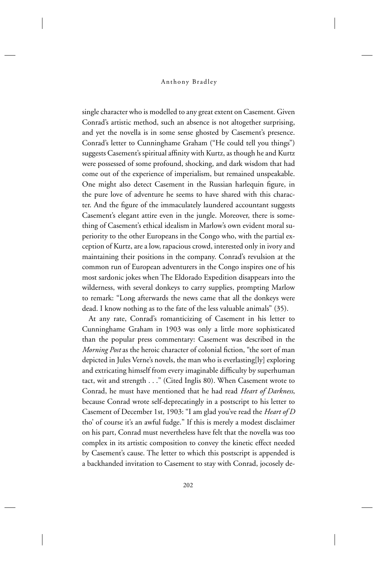single character who is modelled to any great extent on Casement. Given Conrad's artistic method, such an absence is not altogether surprising, and yet the novella is in some sense ghosted by Casement's presence. Conrad's letter to Cunninghame Graham ("He could tell you things") suggests Casement's spiritual affinity with Kurtz, as though he and Kurtz were possessed of some profound, shocking, and dark wisdom that had come out of the experience of imperialism, but remained unspeakable. One might also detect Casement in the Russian harlequin figure, in the pure love of adventure he seems to have shared with this character. And the figure of the immaculately laundered accountant suggests Casement's elegant attire even in the jungle. Moreover, there is something of Casement's ethical idealism in Marlow's own evident moral superiority to the other Europeans in the Congo who, with the partial exception of Kurtz, are a low, rapacious crowd, interested only in ivory and maintaining their positions in the company. Conrad's revulsion at the common run of European adventurers in the Congo inspires one of his most sardonic jokes when The Eldorado Expedition disappears into the wilderness, with several donkeys to carry supplies, prompting Marlow to remark: "Long afterwards the news came that all the donkeys were dead. I know nothing as to the fate of the less valuable animals" (35).

At any rate, Conrad's romanticizing of Casement in his letter to Cunninghame Graham in 1903 was only a little more sophisticated than the popular press commentary: Casement was described in the *Morning Post* as the heroic character of colonial fiction, "the sort of man depicted in Jules Verne's novels, the man who is everlasting[ly] exploring and extricating himself from every imaginable difficulty by superhuman tact, wit and strength . . ." (Cited Inglis 80). When Casement wrote to Conrad, he must have mentioned that he had read *Heart of Darkness*, because Conrad wrote self-deprecatingly in a postscript to his letter to Casement of December 1st, 1903: "I am glad you've read the *Heart of D* tho' of course it's an awful fudge." If this is merely a modest disclaimer on his part, Conrad must nevertheless have felt that the novella was too complex in its artistic composition to convey the kinetic effect needed by Casement's cause. The letter to which this postscript is appended is a backhanded invitation to Casement to stay with Conrad, jocosely de-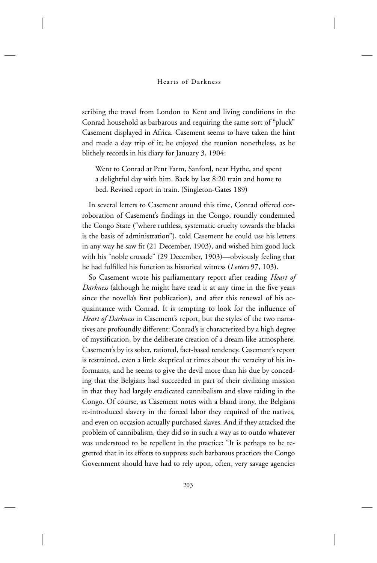### Hearts of Darkness

scribing the travel from London to Kent and living conditions in the Conrad household as barbarous and requiring the same sort of "pluck" Casement displayed in Africa. Casement seems to have taken the hint and made a day trip of it; he enjoyed the reunion nonetheless, as he blithely records in his diary for January 3, 1904:

Went to Conrad at Pent Farm, Sanford, near Hythe, and spent a delightful day with him. Back by last 8:20 train and home to bed. Revised report in train. (Singleton-Gates 189)

In several letters to Casement around this time, Conrad offered corroboration of Casement's findings in the Congo, roundly condemned the Congo State ("where ruthless, systematic cruelty towards the blacks is the basis of administration"), told Casement he could use his letters in any way he saw fit (21 December, 1903), and wished him good luck with his "noble crusade" (29 December, 1903)—obviously feeling that he had fulfilled his function as historical witness (Letters 97, 103).

So Casement wrote his parliamentary report after reading *Heart of Darkness* (although he might have read it at any time in the five years since the novella's first publication), and after this renewal of his acquaintance with Conrad. It is tempting to look for the influence of *Heart of Darkness* in Casement's report, but the styles of the two narratives are profoundly different: Conrad's is characterized by a high degree of mystification, by the deliberate creation of a dream-like atmosphere, Casement's by its sober, rational, fact-based tendency. Casement's report is restrained, even a little skeptical at times about the veracity of his informants, and he seems to give the devil more than his due by conceding that the Belgians had succeeded in part of their civilizing mission in that they had largely eradicated cannibalism and slave raiding in the Congo. Of course, as Casement notes with a bland irony, the Belgians re-introduced slavery in the forced labor they required of the natives, and even on occasion actually purchased slaves. And if they attacked the problem of cannibalism, they did so in such a way as to outdo whatever was understood to be repellent in the practice: "It is perhaps to be regretted that in its efforts to suppress such barbarous practices the Congo Government should have had to rely upon, often, very savage agencies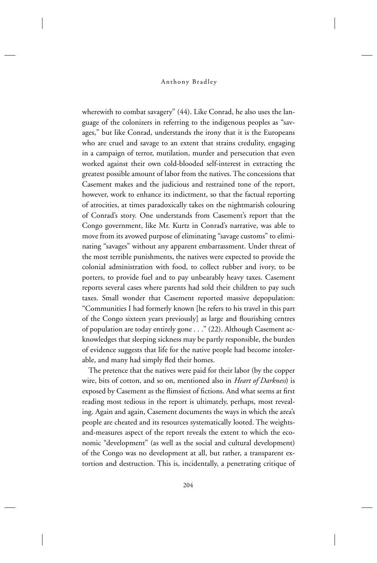#### Anthony Bradley

wherewith to combat savagery" (44). Like Conrad, he also uses the language of the colonizers in referring to the indigenous peoples as "savages," but like Conrad, understands the irony that it is the Europeans who are cruel and savage to an extent that strains credulity, engaging in a campaign of terror, mutilation, murder and persecution that even worked against their own cold-blooded self-interest in extracting the greatest possible amount of labor from the natives. The concessions that Casement makes and the judicious and restrained tone of the report, however, work to enhance its indictment, so that the factual reporting of atrocities, at times paradoxically takes on the nightmarish colouring of Conrad's story. One understands from Casement's report that the Congo government, like Mr. Kurtz in Conrad's narrative, was able to move from its avowed purpose of eliminating "savage customs" to eliminating "savages" without any apparent embarrassment. Under threat of the most terrible punishments, the natives were expected to provide the colonial administration with food, to collect rubber and ivory, to be porters, to provide fuel and to pay unbearably heavy taxes. Casement reports several cases where parents had sold their children to pay such taxes. Small wonder that Casement reported massive depopulation: "Communities I had formerly known [he refers to his travel in this part of the Congo sixteen years previously] as large and flourishing centres of population are today entirely gone . . ." (22). Although Casement acknowledges that sleeping sickness may be partly responsible, the burden of evidence suggests that life for the native people had become intolerable, and many had simply fled their homes.

The pretence that the natives were paid for their labor (by the copper wire, bits of cotton, and so on, mentioned also in *Heart of Darkness*) is exposed by Casement as the flimsiest of fictions. And what seems at first reading most tedious in the report is ultimately, perhaps, most revealing. Again and again, Casement documents the ways in which the area's people are cheated and its resources systematically looted. The weightsand-measures aspect of the report reveals the extent to which the economic "development" (as well as the social and cultural development) of the Congo was no development at all, but rather, a transparent extortion and destruction. This is, incidentally, a penetrating critique of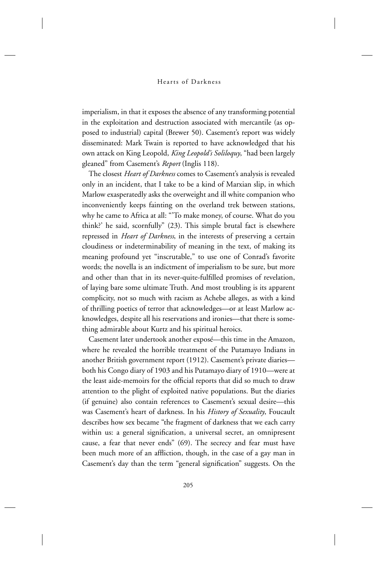imperialism, in that it exposes the absence of any transforming potential in the exploitation and destruction associated with mercantile (as opposed to industrial) capital (Brewer 50). Casement's report was widely disseminated: Mark Twain is reported to have acknowledged that his own attack on King Leopold, *King Leopold's Soliloquy*, "had been largely gleaned" from Casement's *Report* (Inglis 118).

The closest *Heart of Darkness* comes to Casement's analysis is revealed only in an incident, that I take to be a kind of Marxian slip, in which Marlow exasperatedly asks the overweight and ill white companion who inconveniently keeps fainting on the overland trek between stations, why he came to Africa at all: "'To make money, of course. What do you think?' he said, scornfully" (23). This simple brutal fact is elsewhere repressed in *Heart of Darkness*, in the interests of preserving a certain cloudiness or indeterminability of meaning in the text, of making its meaning profound yet "inscrutable," to use one of Conrad's favorite words; the novella is an indictment of imperialism to be sure, but more and other than that in its never-quite-fulfilled promises of revelation, of laying bare some ultimate Truth. And most troubling is its apparent complicity, not so much with racism as Achebe alleges, as with a kind of thrilling poetics of terror that acknowledges—or at least Marlow acknowledges, despite all his reservations and ironies—that there is something admirable about Kurtz and his spiritual heroics.

Casement later undertook another exposé—this time in the Amazon, where he revealed the horrible treatment of the Putamayo Indians in another British government report (1912). Casement's private diaries both his Congo diary of 1903 and his Putamayo diary of 1910—were at the least aide-memoirs for the official reports that did so much to draw attention to the plight of exploited native populations. But the diaries (if genuine) also contain references to Casement's sexual desire—this was Casement's heart of darkness. In his *History of Sexuality*, Foucault describes how sex became "the fragment of darkness that we each carry within us: a general signification, a universal secret, an omnipresent cause, a fear that never ends" (69). The secrecy and fear must have been much more of an affliction, though, in the case of a gay man in Casement's day than the term "general signification" suggests. On the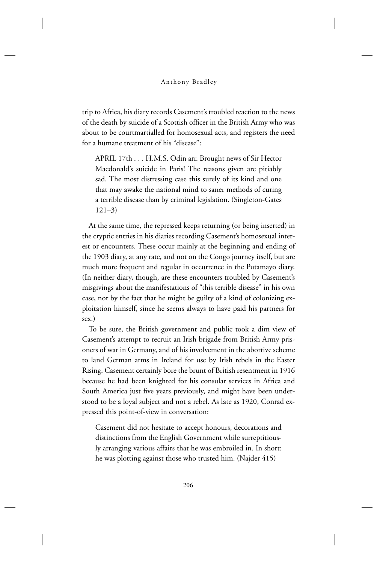trip to Africa, his diary records Casement's troubled reaction to the news of the death by suicide of a Scottish officer in the British Army who was about to be courtmartialled for homosexual acts, and registers the need for a humane treatment of his "disease":

APRIL 17th . . . H.M.S. Odin arr. Brought news of Sir Hector Macdonald's suicide in Paris! The reasons given are pitiably sad. The most distressing case this surely of its kind and one that may awake the national mind to saner methods of curing a terrible disease than by criminal legislation. (Singleton-Gates 121–3)

At the same time, the repressed keeps returning (or being inserted) in the cryptic entries in his diaries recording Casement's homosexual interest or encounters. These occur mainly at the beginning and ending of the 1903 diary, at any rate, and not on the Congo journey itself, but are much more frequent and regular in occurrence in the Putamayo diary. (In neither diary, though, are these encounters troubled by Casement's misgivings about the manifestations of "this terrible disease" in his own case, nor by the fact that he might be guilty of a kind of colonizing exploitation himself, since he seems always to have paid his partners for sex.)

To be sure, the British government and public took a dim view of Casement's attempt to recruit an Irish brigade from British Army prisoners of war in Germany, and of his involvement in the abortive scheme to land German arms in Ireland for use by Irish rebels in the Easter Rising. Casement certainly bore the brunt of British resentment in 1916 because he had been knighted for his consular services in Africa and South America just five years previously, and might have been understood to be a loyal subject and not a rebel. As late as 1920, Conrad expressed this point-of-view in conversation:

Casement did not hesitate to accept honours, decorations and distinctions from the English Government while surreptitiously arranging various affairs that he was embroiled in. In short: he was plotting against those who trusted him. (Najder 415)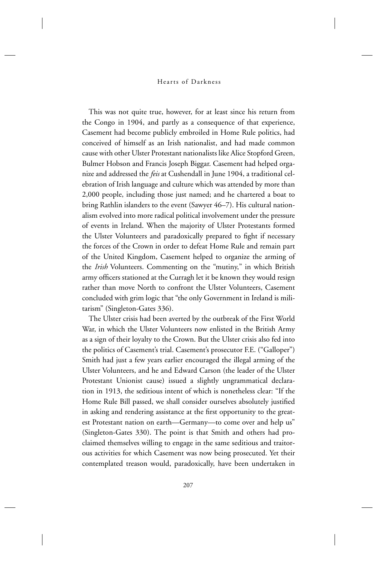This was not quite true, however, for at least since his return from the Congo in 1904, and partly as a consequence of that experience, Casement had become publicly embroiled in Home Rule politics, had conceived of himself as an Irish nationalist, and had made common cause with other Ulster Protestant nationalists like Alice Stopford Green, Bulmer Hobson and Francis Joseph Biggar. Casement had helped organize and addressed the *feis* at Cushendall in June 1904, a traditional celebration of Irish language and culture which was attended by more than 2,000 people, including those just named; and he chartered a boat to bring Rathlin islanders to the event (Sawyer 46–7). His cultural nationalism evolved into more radical political involvement under the pressure of events in Ireland. When the majority of Ulster Protestants formed the Ulster Volunteers and paradoxically prepared to fight if necessary the forces of the Crown in order to defeat Home Rule and remain part of the United Kingdom, Casement helped to organize the arming of the *Irish* Volunteers. Commenting on the "mutiny," in which British army officers stationed at the Curragh let it be known they would resign rather than move North to confront the Ulster Volunteers, Casement concluded with grim logic that "the only Government in Ireland is militarism" (Singleton-Gates 336).

The Ulster crisis had been averted by the outbreak of the First World War, in which the Ulster Volunteers now enlisted in the British Army as a sign of their loyalty to the Crown. But the Ulster crisis also fed into the politics of Casement's trial. Casement's prosecutor F.E. ("Galloper") Smith had just a few years earlier encouraged the illegal arming of the Ulster Volunteers, and he and Edward Carson (the leader of the Ulster Protestant Unionist cause) issued a slightly ungrammatical declaration in 1913, the seditious intent of which is nonetheless clear: "If the Home Rule Bill passed, we shall consider ourselves absolutely justified in asking and rendering assistance at the first opportunity to the greatest Protestant nation on earth—Germany—to come over and help us" (Singleton-Gates 330). The point is that Smith and others had proclaimed themselves willing to engage in the same seditious and traitorous activities for which Casement was now being prosecuted. Yet their contemplated treason would, paradoxically, have been undertaken in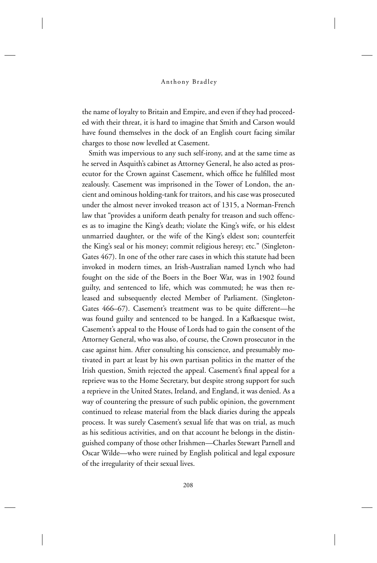the name of loyalty to Britain and Empire, and even if they had proceeded with their threat, it is hard to imagine that Smith and Carson would have found themselves in the dock of an English court facing similar charges to those now levelled at Casement.

Smith was impervious to any such self-irony, and at the same time as he served in Asquith's cabinet as Attorney General, he also acted as prosecutor for the Crown against Casement, which office he fulfilled most zealously. Casement was imprisoned in the Tower of London, the ancient and ominous holding-tank for traitors, and his case was prosecuted under the almost never invoked treason act of 1315, a Norman-French law that "provides a uniform death penalty for treason and such offences as to imagine the King's death; violate the King's wife, or his eldest unmarried daughter, or the wife of the King's eldest son; counterfeit the King's seal or his money; commit religious heresy; etc." (Singleton-Gates 467). In one of the other rare cases in which this statute had been invoked in modern times, an Irish-Australian named Lynch who had fought on the side of the Boers in the Boer War, was in 1902 found guilty, and sentenced to life, which was commuted; he was then released and subsequently elected Member of Parliament. (Singleton-Gates 466–67). Casement's treatment was to be quite different—he was found guilty and sentenced to be hanged. In a Kafkaesque twist, Casement's appeal to the House of Lords had to gain the consent of the Attorney General, who was also, of course, the Crown prosecutor in the case against him. After consulting his conscience, and presumably motivated in part at least by his own partisan politics in the matter of the Irish question, Smith rejected the appeal. Casement's final appeal for a reprieve was to the Home Secretary, but despite strong support for such a reprieve in the United States, Ireland, and England, it was denied. As a way of countering the pressure of such public opinion, the government continued to release material from the black diaries during the appeals process. It was surely Casement's sexual life that was on trial, as much as his seditious activities, and on that account he belongs in the distinguished company of those other Irishmen—Charles Stewart Parnell and Oscar Wilde—who were ruined by English political and legal exposure of the irregularity of their sexual lives.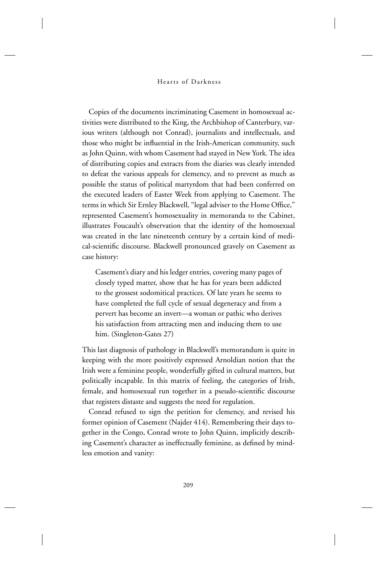Copies of the documents incriminating Casement in homosexual activities were distributed to the King, the Archbishop of Canterbury, various writers (although not Conrad), journalists and intellectuals, and those who might be influential in the Irish-American community, such as John Quinn, with whom Casement had stayed in New York. The idea of distributing copies and extracts from the diaries was clearly intended to defeat the various appeals for clemency, and to prevent as much as possible the status of political martyrdom that had been conferred on the executed leaders of Easter Week from applying to Casement. The terms in which Sir Ernley Blackwell, "legal adviser to the Home Office," represented Casement's homosexuality in memoranda to the Cabinet, illustrates Foucault's observation that the identity of the homosexual was created in the late nineteenth century by a certain kind of medical-scientific discourse. Blackwell pronounced gravely on Casement as case history:

Casement's diary and his ledger entries, covering many pages of closely typed matter, show that he has for years been addicted to the grossest sodomitical practices. Of late years he seems to have completed the full cycle of sexual degeneracy and from a pervert has become an invert—a woman or pathic who derives his satisfaction from attracting men and inducing them to use him. (Singleton-Gates 27)

This last diagnosis of pathology in Blackwell's memorandum is quite in keeping with the more positively expressed Arnoldian notion that the Irish were a feminine people, wonderfully gifted in cultural matters, but politically incapable. In this matrix of feeling, the categories of Irish, female, and homosexual run together in a pseudo-scientific discourse that registers distaste and suggests the need for regulation.

Conrad refused to sign the petition for clemency, and revised his former opinion of Casement (Najder 414). Remembering their days together in the Congo, Conrad wrote to John Quinn, implicitly describing Casement's character as ineffectually feminine, as defined by mindless emotion and vanity: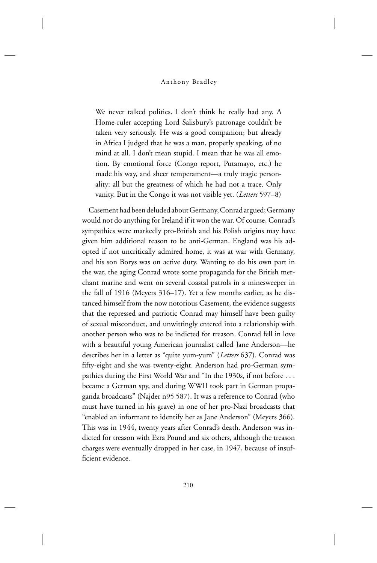We never talked politics. I don't think he really had any. A Home-ruler accepting Lord Salisbury's patronage couldn't be taken very seriously. He was a good companion; but already in Africa I judged that he was a man, properly speaking, of no mind at all. I don't mean stupid. I mean that he was all emotion. By emotional force (Congo report, Putamayo, etc.) he made his way, and sheer temperament—a truly tragic personality: all but the greatness of which he had not a trace. Only vanity. But in the Congo it was not visible yet. (*Letters* 597–8)

Casement had been deluded about Germany, Conrad argued; Germany would not do anything for Ireland if it won the war. Of course, Conrad's sympathies were markedly pro-British and his Polish origins may have given him additional reason to be anti-German. England was his adopted if not uncritically admired home, it was at war with Germany, and his son Borys was on active duty. Wanting to do his own part in the war, the aging Conrad wrote some propaganda for the British merchant marine and went on several coastal patrols in a minesweeper in the fall of 1916 (Meyers 316–17). Yet a few months earlier, as he distanced himself from the now notorious Casement, the evidence suggests that the repressed and patriotic Conrad may himself have been guilty of sexual misconduct, and unwittingly entered into a relationship with another person who was to be indicted for treason. Conrad fell in love with a beautiful young American journalist called Jane Anderson—he describes her in a letter as "quite yum-yum" (*Letters* 637). Conrad was fifty-eight and she was twenty-eight. Anderson had pro-German sympathies during the First World War and "In the 1930s, if not before . . . became a German spy, and during WWII took part in German propaganda broadcasts" (Najder n95 587). It was a reference to Conrad (who must have turned in his grave) in one of her pro-Nazi broadcasts that "enabled an informant to identify her as Jane Anderson" (Meyers 366). This was in 1944, twenty years after Conrad's death. Anderson was indicted for treason with Ezra Pound and six others, although the treason charges were eventually dropped in her case, in 1947, because of insufficient evidence.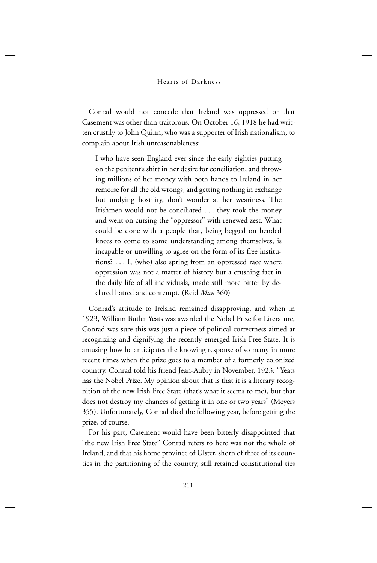### Hearts of Darkness

Conrad would not concede that Ireland was oppressed or that Casement was other than traitorous. On October 16, 1918 he had written crustily to John Quinn, who was a supporter of Irish nationalism, to complain about Irish unreasonableness:

I who have seen England ever since the early eighties putting on the penitent's shirt in her desire for conciliation, and throwing millions of her money with both hands to Ireland in her remorse for all the old wrongs, and getting nothing in exchange but undying hostility, don't wonder at her weariness. The Irishmen would not be conciliated . . . they took the money and went on cursing the "oppressor" with renewed zest. What could be done with a people that, being begged on bended knees to come to some understanding among themselves, is incapable or unwilling to agree on the form of its free institutions? . . . I, (who) also spring from an oppressed race where oppression was not a matter of history but a crushing fact in the daily life of all individuals, made still more bitter by declared hatred and contempt. (Reid *Man* 360)

Conrad's attitude to Ireland remained disapproving, and when in 1923, William Butler Yeats was awarded the Nobel Prize for Literature, Conrad was sure this was just a piece of political correctness aimed at recognizing and dignifying the recently emerged Irish Free State. It is amusing how he anticipates the knowing response of so many in more recent times when the prize goes to a member of a formerly colonized country. Conrad told his friend Jean-Aubry in November, 1923: "Yeats has the Nobel Prize. My opinion about that is that it is a literary recognition of the new Irish Free State (that's what it seems to me), but that does not destroy my chances of getting it in one or two years" (Meyers 355). Unfortunately, Conrad died the following year, before getting the prize, of course.

For his part, Casement would have been bitterly disappointed that "the new Irish Free State" Conrad refers to here was not the whole of Ireland, and that his home province of Ulster, shorn of three of its counties in the partitioning of the country, still retained constitutional ties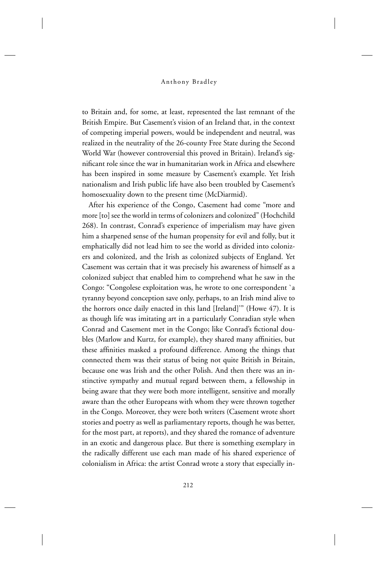to Britain and, for some, at least, represented the last remnant of the British Empire. But Casement's vision of an Ireland that, in the context of competing imperial powers, would be independent and neutral, was realized in the neutrality of the 26-county Free State during the Second World War (however controversial this proved in Britain). Ireland's significant role since the war in humanitarian work in Africa and elsewhere has been inspired in some measure by Casement's example. Yet Irish nationalism and Irish public life have also been troubled by Casement's homosexuality down to the present time (McDiarmid).

After his experience of the Congo, Casement had come "more and more [to] see the world in terms of colonizers and colonized" (Hochchild 268). In contrast, Conrad's experience of imperialism may have given him a sharpened sense of the human propensity for evil and folly, but it emphatically did not lead him to see the world as divided into colonizers and colonized, and the Irish as colonized subjects of England. Yet Casement was certain that it was precisely his awareness of himself as a colonized subject that enabled him to comprehend what he saw in the Congo: "Congolese exploitation was, he wrote to one correspondent `a tyranny beyond conception save only, perhaps, to an Irish mind alive to the horrors once daily enacted in this land [Ireland]'" (Howe 47). It is as though life was imitating art in a particularly Conradian style when Conrad and Casement met in the Congo; like Conrad's fictional doubles (Marlow and Kurtz, for example), they shared many affinities, but these affinities masked a profound difference. Among the things that connected them was their status of being not quite British in Britain, because one was Irish and the other Polish. And then there was an instinctive sympathy and mutual regard between them, a fellowship in being aware that they were both more intelligent, sensitive and morally aware than the other Europeans with whom they were thrown together in the Congo. Moreover, they were both writers (Casement wrote short stories and poetry as well as parliamentary reports, though he was better, for the most part, at reports), and they shared the romance of adventure in an exotic and dangerous place. But there is something exemplary in the radically different use each man made of his shared experience of colonialism in Africa: the artist Conrad wrote a story that especially in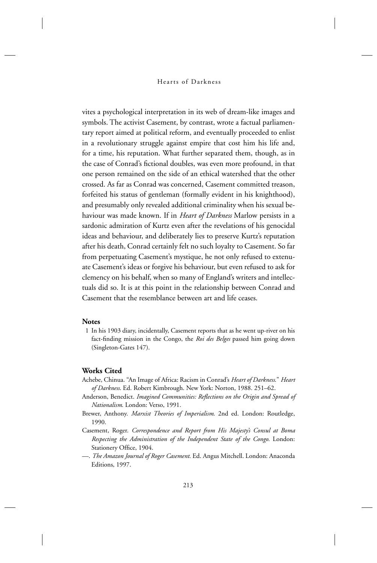vites a psychological interpretation in its web of dream-like images and symbols. The activist Casement, by contrast, wrote a factual parliamentary report aimed at political reform, and eventually proceeded to enlist in a revolutionary struggle against empire that cost him his life and, for a time, his reputation. What further separated them, though, as in the case of Conrad's fictional doubles, was even more profound, in that one person remained on the side of an ethical watershed that the other crossed. As far as Conrad was concerned, Casement committed treason, forfeited his status of gentleman (formally evident in his knighthood), and presumably only revealed additional criminality when his sexual behaviour was made known. If in *Heart of Darkness* Marlow persists in a sardonic admiration of Kurtz even after the revelations of his genocidal ideas and behaviour, and deliberately lies to preserve Kurtz's reputation after his death, Conrad certainly felt no such loyalty to Casement. So far from perpetuating Casement's mystique, he not only refused to extenuate Casement's ideas or forgive his behaviour, but even refused to ask for clemency on his behalf, when so many of England's writers and intellectuals did so. It is at this point in the relationship between Conrad and Casement that the resemblance between art and life ceases.

### **Notes**

 1 In his 1903 diary, incidentally, Casement reports that as he went up-river on his fact-finding mission in the Congo, the *Roi des Belges* passed him going down (Singleton-Gates 147).

## **Works Cited**

- Achebe, Chinua. "An Image of Africa: Racism in Conrad's *Heart of Darkness*." *Heart of Darkness*. Ed. Robert Kimbrough. New York: Norton, 1988. 251–62.
- Anderson, Benedict. *Imagined Communities: Reflections on the Origin and Spread of Nationalism*. London: Verso, 1991.
- Brewer, Anthony. *Marxist Theories of Imperialism*. 2nd ed. London: Routledge, 1990.
- Casement, Roger. *Correspondence and Report from His Majesty's Consul at Boma Respecting the Administration of the Independent State of the Congo*. London: Stationery Office, 1904.
- —. *The Amazon Journal of Roger Casement*. Ed. Angus Mitchell. London: Anaconda Editions, 1997.